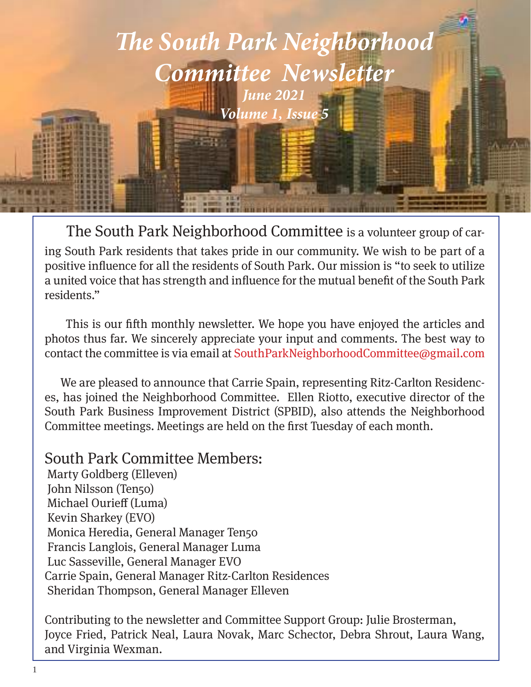# *The South Park Neighborhood Committee Newsletter June 2021*

*Volume 1, Issue 5*

The South Park Neighborhood Committee is a volunteer group of car-

ing South Park residents that takes pride in our community. We wish to be part of a positive influence for all the residents of South Park. Our mission is "to seek to utilize a united voice that has strength and influence for the mutual benefit of the South Park residents."

 This is our fifth monthly newsletter. We hope you have enjoyed the articles and photos thus far. We sincerely appreciate your input and comments. The best way to contact the committee is via email at SouthParkNeighborhoodCommittee@gmail.com

 We are pleased to announce that Carrie Spain, representing Ritz-Carlton Residences, has joined the Neighborhood Committee. Ellen Riotto, executive director of the South Park Business Improvement District (SPBID), also attends the Neighborhood Committee meetings. Meetings are held on the first Tuesday of each month.

#### South Park Committee Members:

 Marty Goldberg (Elleven) John Nilsson (Ten50) Michael Ourieff (Luma) Kevin Sharkey (EVO) Monica Heredia, General Manager Ten50 Francis Langlois, General Manager Luma Luc Sasseville, General Manager EVO Carrie Spain, General Manager Ritz-Carlton Residences Sheridan Thompson, General Manager Elleven

Contributing to the newsletter and Committee Support Group: Julie Brosterman, Joyce Fried, Patrick Neal, Laura Novak, Marc Schector, Debra Shrout, Laura Wang, and Virginia Wexman.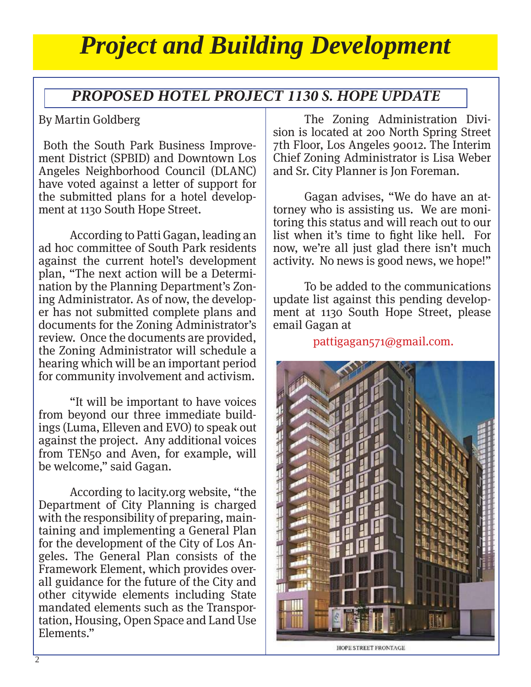# *Project and Building Development*

## *PROPOSED HOTEL PROJECT 1130 S. HOPE UPDATE*

#### By Martin Goldberg

 Both the South Park Business Improvement District (SPBID) and Downtown Los Angeles Neighborhood Council (DLANC) have voted against a letter of support for the submitted plans for a hotel development at 1130 South Hope Street.

According to Patti Gagan, leading an ad hoc committee of South Park residents against the current hotel's development plan, "The next action will be a Determination by the Planning Department's Zoning Administrator. As of now, the developer has not submitted complete plans and documents for the Zoning Administrator's review. Once the documents are provided, the Zoning Administrator will schedule a hearing which will be an important period for community involvement and activism.

"It will be important to have voices from beyond our three immediate buildings (Luma, Elleven and EVO) to speak out against the project. Any additional voices from TEN50 and Aven, for example, will be welcome," said Gagan.

According to lacity.org website, "the Department of City Planning is charged with the responsibility of preparing, maintaining and implementing a General Plan for the development of the City of Los Angeles. The General Plan consists of the Framework Element, which provides overall guidance for the future of the City and other citywide elements including State mandated elements such as the Transportation, Housing, Open Space and Land Use Elements."

The Zoning Administration Division is located at 200 North Spring Street 7th Floor, Los Angeles 90012. The Interim Chief Zoning Administrator is Lisa Weber and Sr. City Planner is Jon Foreman.

Gagan advises, "We do have an attorney who is assisting us. We are monitoring this status and will reach out to our list when it's time to fight like hell. For now, we're all just glad there isn't much activity. No news is good news, we hope!"

To be added to the communications update list against this pending development at 1130 South Hope Street, please email Gagan at

#### pattigagan571@gmail.com.



HOPE STREET FRONTAGE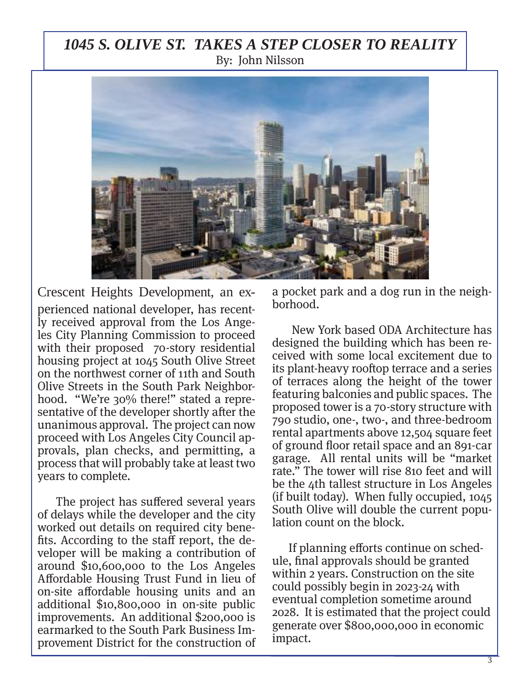### *1045 S. OLIVE ST. TAKES A STEP CLOSER TO REALITY* By: John Nilsson



Crescent Heights Development, an experienced national developer, has recently received approval from the Los Angeles City Planning Commission to proceed with their proposed 70-story residential housing project at 1045 South Olive Street on the northwest corner of 11th and South Olive Streets in the South Park Neighborhood. "We're 30% there!" stated a representative of the developer shortly after the unanimous approval. The project can now proceed with Los Angeles City Council approvals, plan checks, and permitting, a process that will probably take at least two years to complete.

 The project has suffered several years of delays while the developer and the city worked out details on required city benefits. According to the staff report, the developer will be making a contribution of around \$10,600,000 to the Los Angeles Affordable Housing Trust Fund in lieu of on-site affordable housing units and an additional \$10,800,000 in on-site public improvements. An additional \$200,000 is earmarked to the South Park Business Improvement District for the construction of a pocket park and a dog run in the neighborhood.

 New York based ODA Architecture has designed the building which has been received with some local excitement due to its plant-heavy rooftop terrace and a series of terraces along the height of the tower featuring balconies and public spaces. The proposed tower is a 70-story structure with 790 studio, one-, two-, and three-bedroom rental apartments above 12,504 square feet of ground floor retail space and an 891-car garage. All rental units will be "market rate." The tower will rise 810 feet and will be the 4th tallest structure in Los Angeles (if built today). When fully occupied, 1045 South Olive will double the current population count on the block.

 If planning efforts continue on schedule, final approvals should be granted within 2 years. Construction on the site could possibly begin in 2023-24 with eventual completion sometime around 2028. It is estimated that the project could generate over \$800,000,000 in economic impact.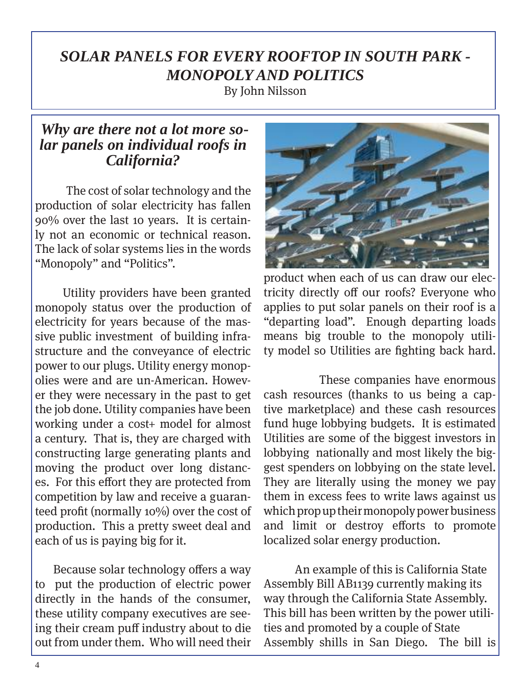# *SOLAR PANELS FOR EVERY ROOFTOP IN SOUTH PARK - MONOPOLY AND POLITICS*

By John Nilsson

#### *Why are there not a lot more solar panels on individual roofs in California?*

The cost of solar technology and the production of solar electricity has fallen 90% over the last 10 years. It is certainly not an economic or technical reason. The lack of solar systems lies in the words "Monopoly" and "Politics".

 Utility providers have been granted monopoly status over the production of electricity for years because of the massive public investment of building infrastructure and the conveyance of electric power to our plugs. Utility energy monopolies were and are un-American. However they were necessary in the past to get the job done. Utility companies have been working under a cost+ model for almost a century. That is, they are charged with constructing large generating plants and moving the product over long distances. For this effort they are protected from competition by law and receive a guaranteed profit (normally 10%) over the cost of production. This a pretty sweet deal and each of us is paying big for it.

 Because solar technology offers a way to put the production of electric power directly in the hands of the consumer, these utility company executives are seeing their cream puff industry about to die out from under them. Who will need their



product when each of us can draw our electricity directly off our roofs? Everyone who applies to put solar panels on their roof is a "departing load". Enough departing loads means big trouble to the monopoly utility model so Utilities are fighting back hard.

 These companies have enormous cash resources (thanks to us being a captive marketplace) and these cash resources fund huge lobbying budgets. It is estimated Utilities are some of the biggest investors in lobbying nationally and most likely the biggest spenders on lobbying on the state level. They are literally using the money we pay them in excess fees to write laws against us which prop up their monopoly power business and limit or destroy efforts to promote localized solar energy production.

An example of this is California State Assembly Bill AB1139 currently making its way through the California State Assembly. This bill has been written by the power utilities and promoted by a couple of State Assembly shills in San Diego. The bill is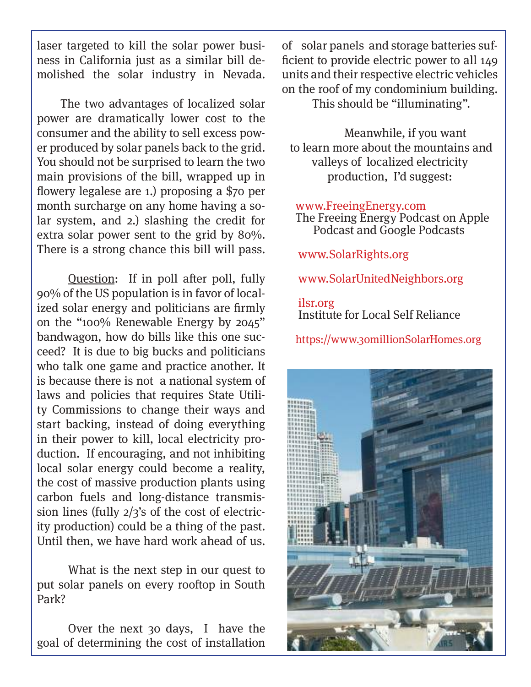laser targeted to kill the solar power business in California just as a similar bill demolished the solar industry in Nevada.

 The two advantages of localized solar power are dramatically lower cost to the consumer and the ability to sell excess power produced by solar panels back to the grid. You should not be surprised to learn the two main provisions of the bill, wrapped up in flowery legalese are 1.) proposing a \$70 per month surcharge on any home having a solar system, and 2.) slashing the credit for extra solar power sent to the grid by 80%. There is a strong chance this bill will pass.

Question: If in poll after poll, fully 90% of the US population is in favor of localized solar energy and politicians are firmly on the "100% Renewable Energy by 2045" bandwagon, how do bills like this one succeed? It is due to big bucks and politicians who talk one game and practice another. It is because there is not a national system of laws and policies that requires State Utility Commissions to change their ways and start backing, instead of doing everything in their power to kill, local electricity production. If encouraging, and not inhibiting local solar energy could become a reality, the cost of massive production plants using carbon fuels and long-distance transmission lines (fully 2/3's of the cost of electricity production) could be a thing of the past. Until then, we have hard work ahead of us.

What is the next step in our quest to put solar panels on every rooftop in South Park?

Over the next 30 days, I have the goal of determining the cost of installation of solar panels and storage batteries sufficient to provide electric power to all 149 units and their respective electric vehicles on the roof of my condominium building. This should be "illuminating".

Meanwhile, if you want to learn more about the mountains and valleys of localized electricity production, I'd suggest:

 www.FreeingEnergy.com The Freeing Energy Podcast on Apple Podcast and Google Podcasts

www.SolarRights.org

www.SolarUnitedNeighbors.org

 ilsr.org Institute for Local Self Reliance

https://www.30millionSolarHomes.org

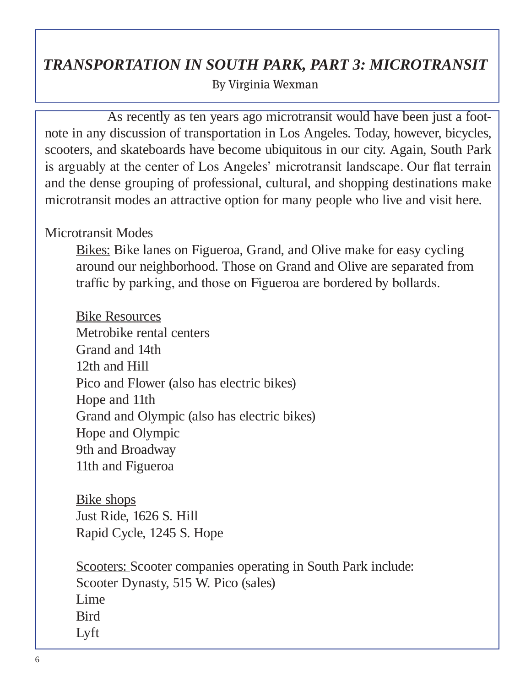# *TRANSPORTATION IN SOUTH PARK, PART 3: MICROTRANSIT*

By Virginia Wexman

 As recently as ten years ago microtransit would have been just a footnote in any discussion of transportation in Los Angeles. Today, however, bicycles, scooters, and skateboards have become ubiquitous in our city. Again, South Park is arguably at the center of Los Angeles' microtransit landscape. Our flat terrain and the dense grouping of professional, cultural, and shopping destinations make microtransit modes an attractive option for many people who live and visit here.

Microtransit Modes

Bikes: Bike lanes on Figueroa, Grand, and Olive make for easy cycling around our neighborhood. Those on Grand and Olive are separated from traffic by parking, and those on Figueroa are bordered by bollards.

Bike Resources Metrobike rental centers Grand and 14th 12th and Hill Pico and Flower (also has electric bikes) Hope and 11th Grand and Olympic (also has electric bikes) Hope and Olympic 9th and Broadway 11th and Figueroa

Bike shops Just Ride, 1626 S. Hill Rapid Cycle, 1245 S. Hope

Scooters: Scooter companies operating in South Park include: Scooter Dynasty, 515 W. Pico (sales) Lime **Bird** Lyft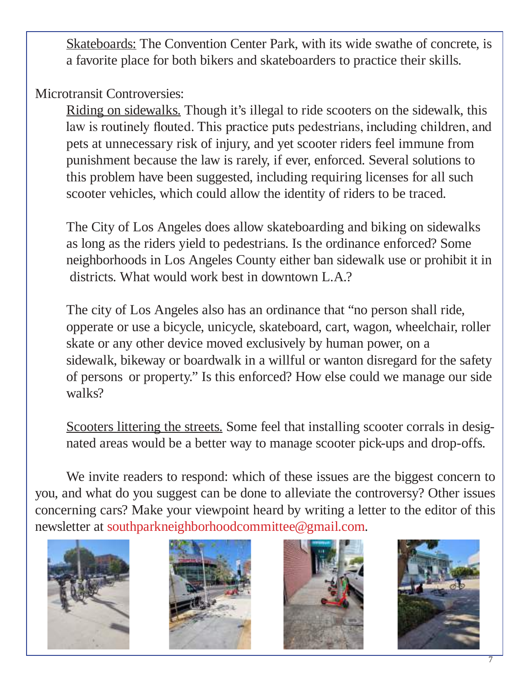Skateboards: The Convention Center Park, with its wide swathe of concrete, is a favorite place for both bikers and skateboarders to practice their skills.

Microtransit Controversies:

Riding on sidewalks. Though it's illegal to ride scooters on the sidewalk, this law is routinely flouted. This practice puts pedestrians, including children, and pets at unnecessary risk of injury, and yet scooter riders feel immune from punishment because the law is rarely, if ever, enforced. Several solutions to this problem have been suggested, including requiring licenses for all such scooter vehicles, which could allow the identity of riders to be traced.

The City of Los Angeles does allow skateboarding and biking on sidewalks as long as the riders yield to pedestrians. Is the ordinance enforced? Some neighborhoods in Los Angeles County either ban sidewalk use or prohibit it in districts. What would work best in downtown L.A.?

The city of Los Angeles also has an ordinance that "no person shall ride, opperate or use a bicycle, unicycle, skateboard, cart, wagon, wheelchair, roller skate or any other device moved exclusively by human power, on a sidewalk, bikeway or boardwalk in a willful or wanton disregard for the safety of persons or property." Is this enforced? How else could we manage our side walks?

Scooters littering the streets. Some feel that installing scooter corrals in designated areas would be a better way to manage scooter pick-ups and drop-offs.

We invite readers to respond: which of these issues are the biggest concern to you, and what do you suggest can be done to alleviate the controversy? Other issues concerning cars? Make your viewpoint heard by writing a letter to the editor of this newsletter at southparkneighborhoodcommittee@gmail.com.







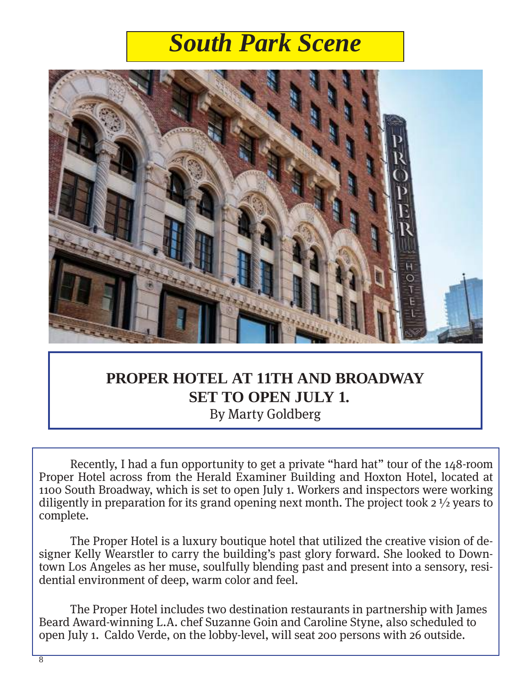# *South Park Scene*



### **PROPER HOTEL AT 11TH AND BROADWAY SET TO OPEN JULY 1.** By Marty Goldberg

Recently, I had a fun opportunity to get a private "hard hat" tour of the 148-room Proper Hotel across from the Herald Examiner Building and Hoxton Hotel, located at 1100 South Broadway, which is set to open July 1. Workers and inspectors were working diligently in preparation for its grand opening next month. The project took 2 ½ years to complete.

The Proper Hotel is a luxury boutique hotel that utilized the creative vision of designer Kelly Wearstler to carry the building's past glory forward. She looked to Downtown Los Angeles as her muse, soulfully blending past and present into a sensory, residential environment of deep, warm color and feel.

The Proper Hotel includes two destination restaurants in partnership with James Beard Award-winning L.A. chef Suzanne Goin and Caroline Styne, also scheduled to open July 1. Caldo Verde, on the lobby-level, will seat 200 persons with 26 outside.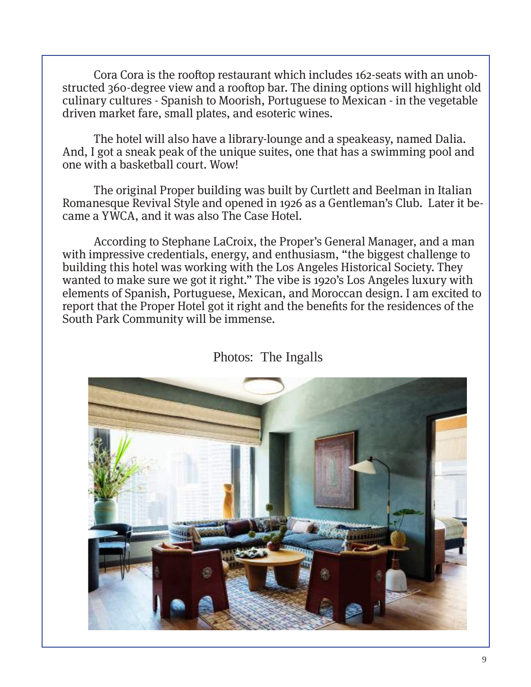Cora Cora is the rooftop restaurant which includes 162-seats with an unobstructed 360-degree view and a rooftop bar. The dining options will highlight old culinary cultures - Spanish to Moorish, Portuguese to Mexican - in the vegetable driven market fare, small plates, and esoteric wines.

The hotel will also have a library-lounge and a speakeasy, named Dalia. And, I got a sneak peak of the unique suites, one that has a swimming pool and one with a basketball court. Wow!

The original Proper building was built by Curtlett and Beelman in Italian Romanesque Revival Style and opened in 1926 as a Gentleman's Club. Later it became a YWCA, and it was also The Case Hotel.

According to Stephane LaCroix, the Proper's General Manager, and a man with impressive credentials, energy, and enthusiasm, "the biggest challenge to building this hotel was working with the Los Angeles Historical Society. They wanted to make sure we got it right." The vibe is 1920's Los Angeles luxury with elements of Spanish, Portuguese, Mexican, and Moroccan design. I am excited to report that the Proper Hotel got it right and the benefits for the residences of the South Park Community will be immense.



Photos: The Ingalls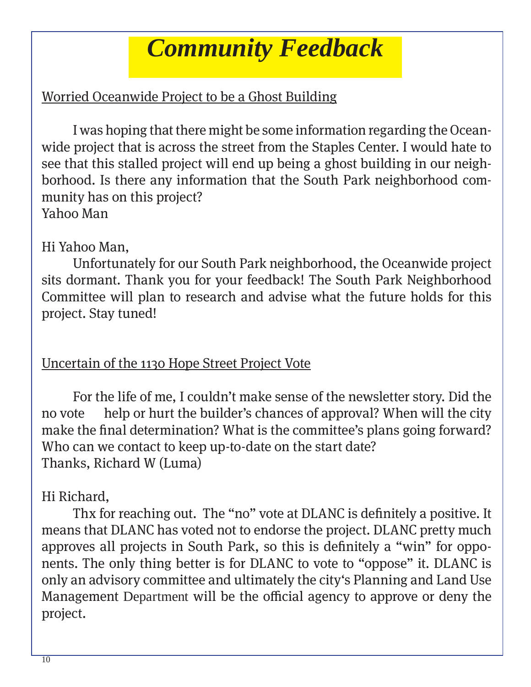# *Community Feedback*

Worried Oceanwide Project to be a Ghost Building

I was hoping that there might be some information regarding the Oceanwide project that is across the street from the Staples Center. I would hate to see that this stalled project will end up being a ghost building in our neighborhood. Is there any information that the South Park neighborhood community has on this project? Yahoo Man

### Hi Yahoo Man,

Unfortunately for our South Park neighborhood, the Oceanwide project sits dormant. Thank you for your feedback! The South Park Neighborhood Committee will plan to research and advise what the future holds for this project. Stay tuned!

### Uncertain of the 1130 Hope Street Project Vote

For the life of me, I couldn't make sense of the newsletter story. Did the no vote help or hurt the builder's chances of approval? When will the city make the final determination? What is the committee's plans going forward? Who can we contact to keep up-to-date on the start date? Thanks, Richard W (Luma)

## Hi Richard,

Thx for reaching out. The "no" vote at DLANC is definitely a positive. It means that DLANC has voted not to endorse the project. DLANC pretty much approves all projects in South Park, so this is definitely a "win" for opponents. The only thing better is for DLANC to vote to "oppose" it. DLANC is only an advisory committee and ultimately the city's Planning and Land Use Management Department will be the official agency to approve or deny the project.